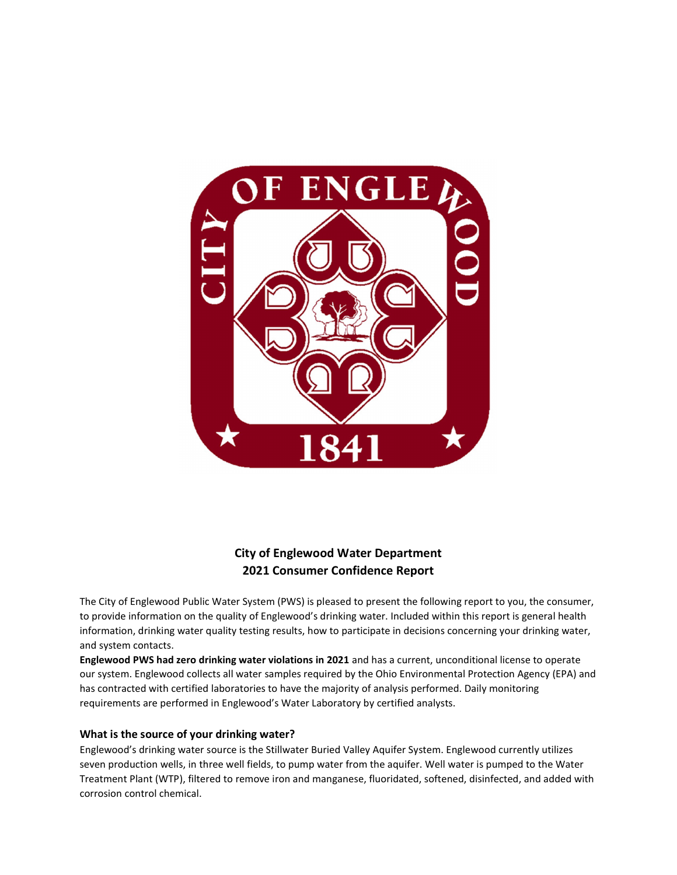

# City of Englewood Water Department 2021 Consumer Confidence Report

The City of Englewood Public Water System (PWS) is pleased to present the following report to you, the consumer, to provide information on the quality of Englewood's drinking water. Included within this report is general health information, drinking water quality testing results, how to participate in decisions concerning your drinking water, and system contacts.

Englewood PWS had zero drinking water violations in 2021 and has a current, unconditional license to operate our system. Englewood collects all water samples required by the Ohio Environmental Protection Agency (EPA) and has contracted with certified laboratories to have the majority of analysis performed. Daily monitoring requirements are performed in Englewood's Water Laboratory by certified analysts.

#### What is the source of your drinking water?

Englewood's drinking water source is the Stillwater Buried Valley Aquifer System. Englewood currently utilizes seven production wells, in three well fields, to pump water from the aquifer. Well water is pumped to the Water Treatment Plant (WTP), filtered to remove iron and manganese, fluoridated, softened, disinfected, and added with corrosion control chemical.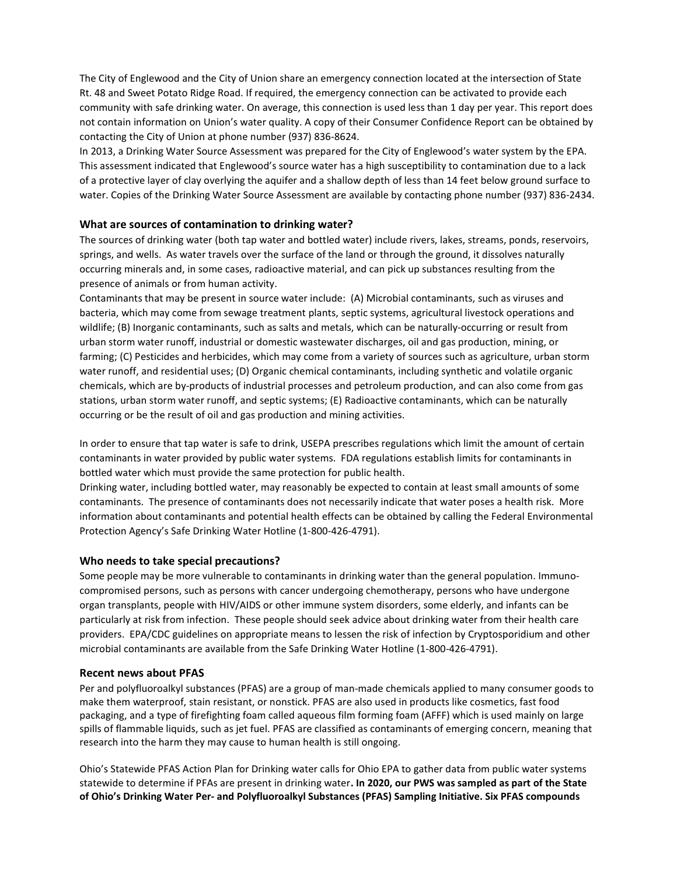The City of Englewood and the City of Union share an emergency connection located at the intersection of State Rt. 48 and Sweet Potato Ridge Road. If required, the emergency connection can be activated to provide each community with safe drinking water. On average, this connection is used less than 1 day per year. This report does not contain information on Union's water quality. A copy of their Consumer Confidence Report can be obtained by contacting the City of Union at phone number (937) 836-8624.

In 2013, a Drinking Water Source Assessment was prepared for the City of Englewood's water system by the EPA. This assessment indicated that Englewood's source water has a high susceptibility to contamination due to a lack of a protective layer of clay overlying the aquifer and a shallow depth of less than 14 feet below ground surface to water. Copies of the Drinking Water Source Assessment are available by contacting phone number (937) 836-2434.

#### What are sources of contamination to drinking water?

The sources of drinking water (both tap water and bottled water) include rivers, lakes, streams, ponds, reservoirs, springs, and wells. As water travels over the surface of the land or through the ground, it dissolves naturally occurring minerals and, in some cases, radioactive material, and can pick up substances resulting from the presence of animals or from human activity.

Contaminants that may be present in source water include: (A) Microbial contaminants, such as viruses and bacteria, which may come from sewage treatment plants, septic systems, agricultural livestock operations and wildlife; (B) Inorganic contaminants, such as salts and metals, which can be naturally-occurring or result from urban storm water runoff, industrial or domestic wastewater discharges, oil and gas production, mining, or farming; (C) Pesticides and herbicides, which may come from a variety of sources such as agriculture, urban storm water runoff, and residential uses; (D) Organic chemical contaminants, including synthetic and volatile organic chemicals, which are by-products of industrial processes and petroleum production, and can also come from gas stations, urban storm water runoff, and septic systems; (E) Radioactive contaminants, which can be naturally occurring or be the result of oil and gas production and mining activities.

In order to ensure that tap water is safe to drink, USEPA prescribes regulations which limit the amount of certain contaminants in water provided by public water systems. FDA regulations establish limits for contaminants in bottled water which must provide the same protection for public health.

Drinking water, including bottled water, may reasonably be expected to contain at least small amounts of some contaminants. The presence of contaminants does not necessarily indicate that water poses a health risk. More information about contaminants and potential health effects can be obtained by calling the Federal Environmental Protection Agency's Safe Drinking Water Hotline (1-800-426-4791).

#### Who needs to take special precautions?

Some people may be more vulnerable to contaminants in drinking water than the general population. Immunocompromised persons, such as persons with cancer undergoing chemotherapy, persons who have undergone organ transplants, people with HIV/AIDS or other immune system disorders, some elderly, and infants can be particularly at risk from infection. These people should seek advice about drinking water from their health care providers. EPA/CDC guidelines on appropriate means to lessen the risk of infection by Cryptosporidium and other microbial contaminants are available from the Safe Drinking Water Hotline (1-800-426-4791).

#### Recent news about PFAS

Per and polyfluoroalkyl substances (PFAS) are a group of man-made chemicals applied to many consumer goods to make them waterproof, stain resistant, or nonstick. PFAS are also used in products like cosmetics, fast food packaging, and a type of firefighting foam called aqueous film forming foam (AFFF) which is used mainly on large spills of flammable liquids, such as jet fuel. PFAS are classified as contaminants of emerging concern, meaning that research into the harm they may cause to human health is still ongoing.

Ohio's Statewide PFAS Action Plan for Drinking water calls for Ohio EPA to gather data from public water systems statewide to determine if PFAs are present in drinking water. In 2020, our PWS was sampled as part of the State of Ohio's Drinking Water Per- and Polyfluoroalkyl Substances (PFAS) Sampling Initiative. Six PFAS compounds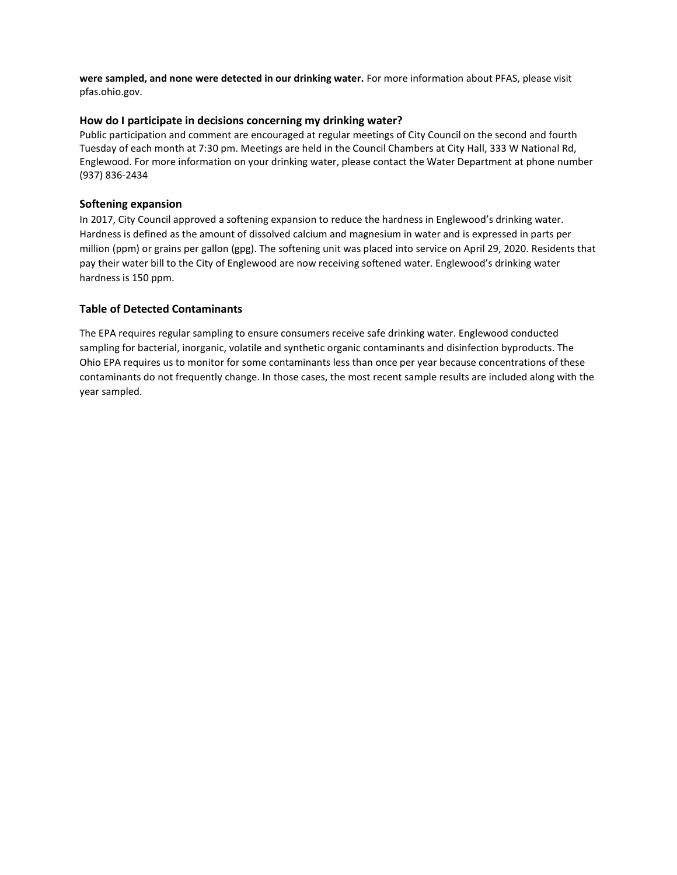were sampled, and none were detected in our drinking water. For more information about PFAS, please visit pfas.ohio.gov.

## How do I participate in decisions concerning my drinking water?

Public participation and comment are encouraged at regular meetings of City Council on the second and fourth Tuesday of each month at 7:30 pm. Meetings are held in the Council Chambers at City Hall, 333 W National Rd, Englewood. For more information on your drinking water, please contact the Water Department at phone number (937) 836-2434

## Softening expansion

In 2017, City Council approved a softening expansion to reduce the hardness in Englewood's drinking water. Hardness is defined as the amount of dissolved calcium and magnesium in water and is expressed in parts per million (ppm) or grains per gallon (gpg). The softening unit was placed into service on April 29, 2020. Residents that pay their water bill to the City of Englewood are now receiving softened water. Englewood's drinking water hardness is 150 ppm.

## Table of Detected Contaminants

The EPA requires regular sampling to ensure consumers receive safe drinking water. Englewood conducted sampling for bacterial, inorganic, volatile and synthetic organic contaminants and disinfection byproducts. The Ohio EPA requires us to monitor for some contaminants less than once per year because concentrations of these contaminants do not frequently change. In those cases, the most recent sample results are included along with the year sampled.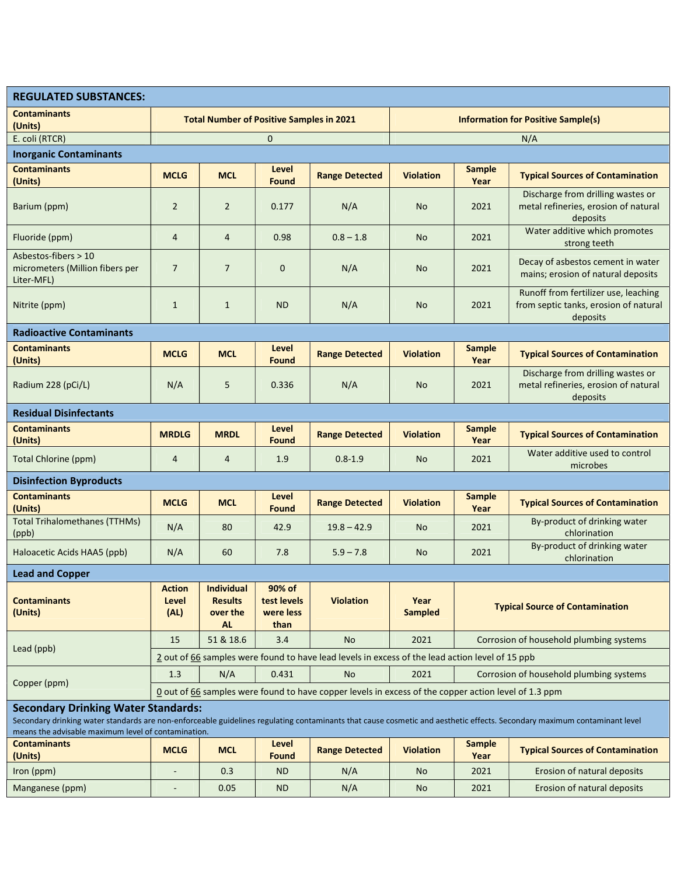| <b>REGULATED SUBSTANCES:</b>                                                                                                                                                                                           |                                                                                                      |                                                                              |                                            |                       |                                           |                                         |                                                                                           |  |
|------------------------------------------------------------------------------------------------------------------------------------------------------------------------------------------------------------------------|------------------------------------------------------------------------------------------------------|------------------------------------------------------------------------------|--------------------------------------------|-----------------------|-------------------------------------------|-----------------------------------------|-------------------------------------------------------------------------------------------|--|
| <b>Contaminants</b><br>(Units)                                                                                                                                                                                         | <b>Total Number of Positive Samples in 2021</b>                                                      |                                                                              |                                            |                       | <b>Information for Positive Sample(s)</b> |                                         |                                                                                           |  |
| E. coli (RTCR)                                                                                                                                                                                                         | $\mathbf{0}$                                                                                         |                                                                              |                                            |                       | N/A                                       |                                         |                                                                                           |  |
| <b>Inorganic Contaminants</b>                                                                                                                                                                                          |                                                                                                      |                                                                              |                                            |                       |                                           |                                         |                                                                                           |  |
| <b>Contaminants</b><br>(Units)                                                                                                                                                                                         | <b>MCLG</b>                                                                                          | <b>MCL</b>                                                                   | Level<br><b>Found</b>                      | <b>Range Detected</b> | <b>Violation</b>                          | <b>Sample</b><br>Year                   | <b>Typical Sources of Contamination</b>                                                   |  |
| Barium (ppm)                                                                                                                                                                                                           | $\overline{2}$                                                                                       | $\overline{2}$                                                               | 0.177                                      | N/A                   | <b>No</b>                                 | 2021                                    | Discharge from drilling wastes or<br>metal refineries, erosion of natural<br>deposits     |  |
| Fluoride (ppm)                                                                                                                                                                                                         | $\overline{4}$                                                                                       | 4                                                                            | 0.98                                       | $0.8 - 1.8$           | <b>No</b>                                 | 2021                                    | Water additive which promotes<br>strong teeth                                             |  |
| Asbestos-fibers > 10<br>micrometers (Million fibers per<br>Liter-MFL)                                                                                                                                                  | $\overline{7}$                                                                                       | $\overline{7}$                                                               | $\mathbf 0$                                | N/A                   | <b>No</b>                                 | 2021                                    | Decay of asbestos cement in water<br>mains; erosion of natural deposits                   |  |
| Nitrite (ppm)                                                                                                                                                                                                          | $\mathbf{1}$                                                                                         | $\mathbf{1}$                                                                 | <b>ND</b>                                  | N/A                   | <b>No</b>                                 | 2021                                    | Runoff from fertilizer use, leaching<br>from septic tanks, erosion of natural<br>deposits |  |
| <b>Radioactive Contaminants</b>                                                                                                                                                                                        |                                                                                                      |                                                                              |                                            |                       |                                           |                                         |                                                                                           |  |
| <b>Contaminants</b><br>(Units)                                                                                                                                                                                         | <b>MCLG</b>                                                                                          | <b>MCL</b>                                                                   | Level<br>Found                             | <b>Range Detected</b> | <b>Violation</b>                          | <b>Sample</b><br>Year                   | <b>Typical Sources of Contamination</b>                                                   |  |
| Radium 228 (pCi/L)                                                                                                                                                                                                     | N/A                                                                                                  | 5                                                                            | 0.336                                      | N/A                   | <b>No</b>                                 | 2021                                    | Discharge from drilling wastes or<br>metal refineries, erosion of natural<br>deposits     |  |
| <b>Residual Disinfectants</b>                                                                                                                                                                                          |                                                                                                      |                                                                              |                                            |                       |                                           |                                         |                                                                                           |  |
| <b>Contaminants</b><br>(Units)                                                                                                                                                                                         | <b>MRDLG</b>                                                                                         | <b>MRDL</b>                                                                  | Level<br><b>Found</b>                      | <b>Range Detected</b> | <b>Violation</b>                          | <b>Sample</b><br>Year                   | <b>Typical Sources of Contamination</b>                                                   |  |
| <b>Total Chlorine (ppm)</b>                                                                                                                                                                                            | $\overline{4}$                                                                                       | $\overline{4}$                                                               | 1.9                                        | $0.8 - 1.9$           | <b>No</b>                                 | 2021                                    | Water additive used to control<br>microbes                                                |  |
| <b>Disinfection Byproducts</b>                                                                                                                                                                                         |                                                                                                      |                                                                              |                                            |                       |                                           |                                         |                                                                                           |  |
| <b>Contaminants</b><br>(Units)                                                                                                                                                                                         | <b>MCLG</b>                                                                                          | <b>MCL</b>                                                                   | Level<br><b>Found</b>                      | <b>Range Detected</b> | <b>Violation</b>                          | <b>Sample</b><br>Year                   | <b>Typical Sources of Contamination</b>                                                   |  |
| <b>Total Trihalomethanes (TTHMs)</b><br>(ppb)                                                                                                                                                                          | N/A                                                                                                  | 80                                                                           | 42.9                                       | $19.8 - 42.9$         | <b>No</b>                                 | 2021                                    | By-product of drinking water<br>chlorination                                              |  |
| Haloacetic Acids HAA5 (ppb)                                                                                                                                                                                            | N/A                                                                                                  | 60                                                                           | 7.8                                        | $5.9 - 7.8$           | No                                        | 2021                                    | By-product of drinking water<br>chlorination                                              |  |
| <b>Lead and Copper</b>                                                                                                                                                                                                 |                                                                                                      |                                                                              |                                            |                       |                                           |                                         |                                                                                           |  |
| <b>Contaminants</b><br>(Units)                                                                                                                                                                                         | <b>Action</b><br>Level<br>(AL)                                                                       | <b>Individual</b><br><b>Results</b><br>over the<br><b>AL</b>                 | 90% of<br>test levels<br>were less<br>than | <b>Violation</b>      | Year<br><b>Sampled</b>                    | <b>Typical Source of Contamination</b>  |                                                                                           |  |
| Lead (ppb)                                                                                                                                                                                                             | 15                                                                                                   | 51 & 18.6                                                                    | 3.4                                        | <b>No</b>             | 2021                                      | Corrosion of household plumbing systems |                                                                                           |  |
|                                                                                                                                                                                                                        | 2 out of 66 samples were found to have lead levels in excess of the lead action level of 15 ppb      |                                                                              |                                            |                       |                                           |                                         |                                                                                           |  |
| Copper (ppm)                                                                                                                                                                                                           | 1.3                                                                                                  | 0.431<br>2021<br>N/A<br>Corrosion of household plumbing systems<br><b>No</b> |                                            |                       |                                           |                                         |                                                                                           |  |
|                                                                                                                                                                                                                        | O out of 66 samples were found to have copper levels in excess of the copper action level of 1.3 ppm |                                                                              |                                            |                       |                                           |                                         |                                                                                           |  |
| <b>Secondary Drinking Water Standards:</b><br>Secondary drinking water standards are non-enforceable guidelines regulating contaminants that cause cosmetic and aesthetic effects. Secondary maximum contaminant level |                                                                                                      |                                                                              |                                            |                       |                                           |                                         |                                                                                           |  |
| means the advisable maximum level of contamination.<br><b>Contaminants</b><br>(Units)                                                                                                                                  | <b>MCLG</b>                                                                                          | <b>MCL</b>                                                                   | Level<br><b>Found</b>                      | <b>Range Detected</b> | <b>Violation</b>                          | <b>Sample</b><br>Year                   | <b>Typical Sources of Contamination</b>                                                   |  |
| Iron (ppm)                                                                                                                                                                                                             |                                                                                                      | 0.3                                                                          | <b>ND</b>                                  | N/A                   | <b>No</b>                                 | 2021                                    | Erosion of natural deposits                                                               |  |

Manganese (ppm) - 0.05 ND N/A No 2021 Erosion of natural deposits